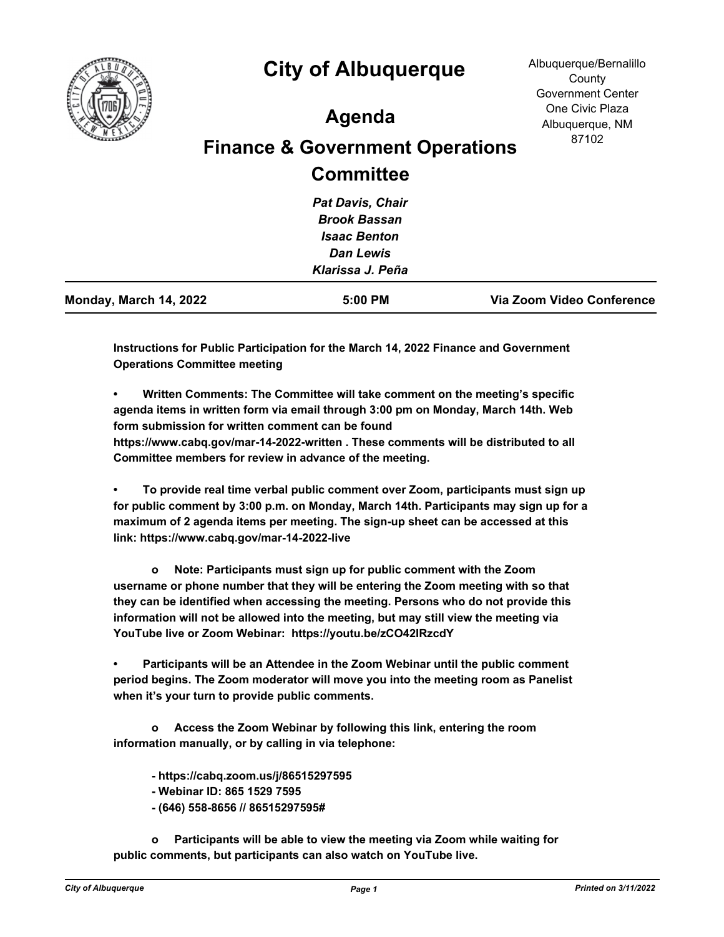

## **City of Albuquerque**

## **Agenda**

## **Finance & Government Operations Committee**

| Via Zoom Video Conference |
|---------------------------|
|                           |
|                           |
|                           |
|                           |
|                           |
|                           |

**Instructions for Public Participation for the March 14, 2022 Finance and Government Operations Committee meeting**

**• Written Comments: The Committee will take comment on the meeting's specific agenda items in written form via email through 3:00 pm on Monday, March 14th. Web form submission for written comment can be found** 

**https://www.cabq.gov/mar-14-2022-written . These comments will be distributed to all Committee members for review in advance of the meeting.**

**• To provide real time verbal public comment over Zoom, participants must sign up for public comment by 3:00 p.m. on Monday, March 14th. Participants may sign up for a maximum of 2 agenda items per meeting. The sign-up sheet can be accessed at this link: https://www.cabq.gov/mar-14-2022-live**

 **o Note: Participants must sign up for public comment with the Zoom username or phone number that they will be entering the Zoom meeting with so that they can be identified when accessing the meeting. Persons who do not provide this information will not be allowed into the meeting, but may still view the meeting via YouTube live or Zoom Webinar: https://youtu.be/zCO42IRzcdY**

**• Participants will be an Attendee in the Zoom Webinar until the public comment period begins. The Zoom moderator will move you into the meeting room as Panelist when it's your turn to provide public comments.**

 **o Access the Zoom Webinar by following this link, entering the room information manually, or by calling in via telephone:**

 **- https://cabq.zoom.us/j/86515297595** 

- **Webinar ID: 865 1529 7595**
- **(646) 558-8656 // 86515297595#**

 **o Participants will be able to view the meeting via Zoom while waiting for public comments, but participants can also watch on YouTube live.**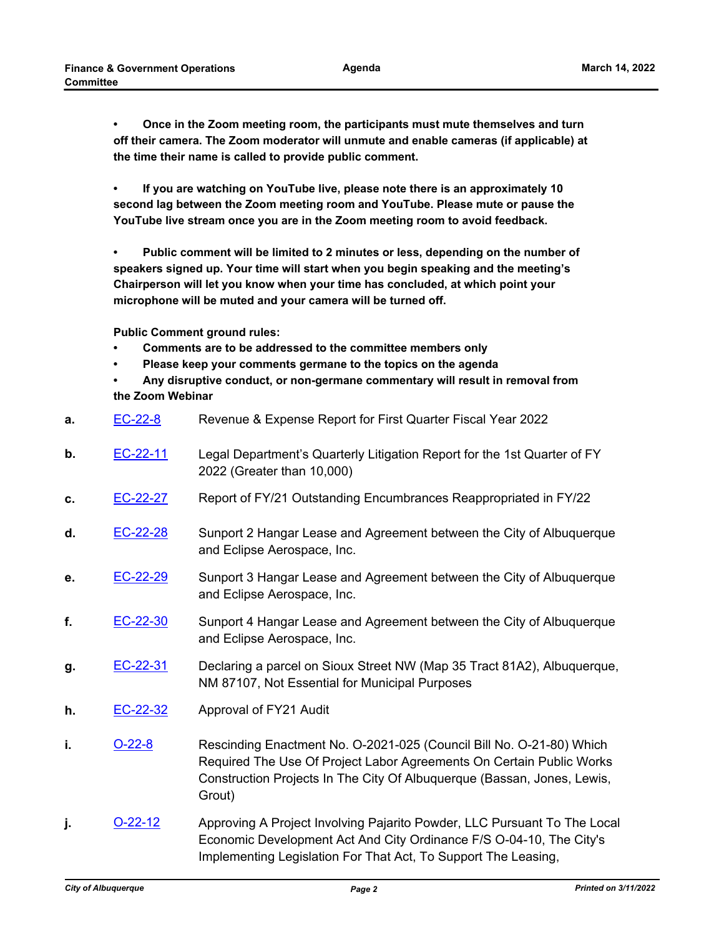**• Once in the Zoom meeting room, the participants must mute themselves and turn off their camera. The Zoom moderator will unmute and enable cameras (if applicable) at the time their name is called to provide public comment.**

**• If you are watching on YouTube live, please note there is an approximately 10 second lag between the Zoom meeting room and YouTube. Please mute or pause the YouTube live stream once you are in the Zoom meeting room to avoid feedback.**

**• Public comment will be limited to 2 minutes or less, depending on the number of speakers signed up. Your time will start when you begin speaking and the meeting's Chairperson will let you know when your time has concluded, at which point your microphone will be muted and your camera will be turned off.**

**Public Comment ground rules:**

- **Comments are to be addressed to the committee members only**
- **Please keep your comments germane to the topics on the agenda**
- **Any disruptive conduct, or non-germane commentary will result in removal from the Zoom Webinar**

| a. | $EC-22-8$ | Revenue & Expense Report for First Quarter Fiscal Year 2022                                                                                                                                                                       |
|----|-----------|-----------------------------------------------------------------------------------------------------------------------------------------------------------------------------------------------------------------------------------|
| b. | EC-22-11  | Legal Department's Quarterly Litigation Report for the 1st Quarter of FY<br>2022 (Greater than 10,000)                                                                                                                            |
| c. | EC-22-27  | Report of FY/21 Outstanding Encumbrances Reappropriated in FY/22                                                                                                                                                                  |
| d. | EC-22-28  | Sunport 2 Hangar Lease and Agreement between the City of Albuquerque<br>and Eclipse Aerospace, Inc.                                                                                                                               |
| е. | EC-22-29  | Sunport 3 Hangar Lease and Agreement between the City of Albuquerque<br>and Eclipse Aerospace, Inc.                                                                                                                               |
| f. | EC-22-30  | Sunport 4 Hangar Lease and Agreement between the City of Albuquerque<br>and Eclipse Aerospace, Inc.                                                                                                                               |
| g. | EC-22-31  | Declaring a parcel on Sioux Street NW (Map 35 Tract 81A2), Albuquerque,<br>NM 87107, Not Essential for Municipal Purposes                                                                                                         |
| h. | EC-22-32  | Approval of FY21 Audit                                                                                                                                                                                                            |
| i. | $O-22-8$  | Rescinding Enactment No. O-2021-025 (Council Bill No. O-21-80) Which<br>Required The Use Of Project Labor Agreements On Certain Public Works<br>Construction Projects In The City Of Albuquerque (Bassan, Jones, Lewis,<br>Grout) |
| j. | $O-22-12$ | Approving A Project Involving Pajarito Powder, LLC Pursuant To The Local<br>Economic Development Act And City Ordinance F/S O-04-10, The City's                                                                                   |

Implementing Legislation For That Act, To Support The Leasing,